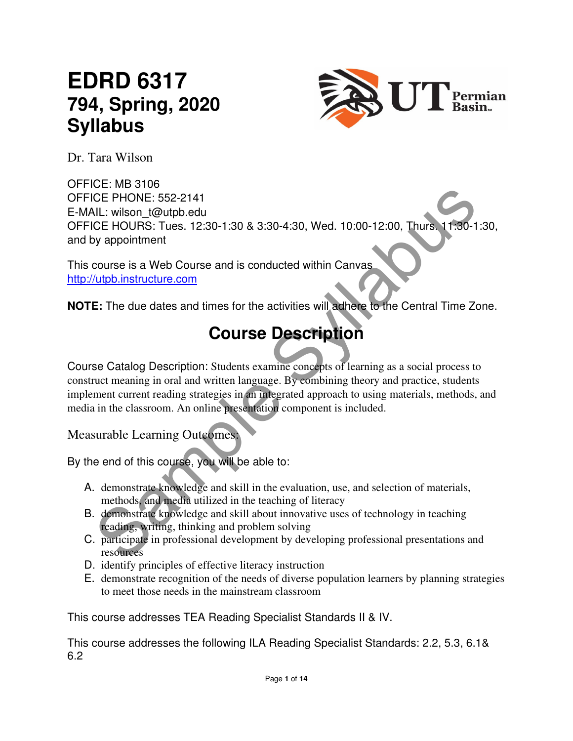# **EDRD 6317 794, Spring, 2020 Syllabus**



Dr. Tara Wilson

CE PHONE: 552-2141<br>CE PHONE: 552-2141<br>CE PHONE: 552-2141<br>OC DHRS: Tues. 12:30-1:30 & 3:30-4:30, Wed. 10:00-12:00, Thurs. 11:30-1:3<br>oy appointment<br>course is a Web Course and is conducted within Canvas<br>course is a Web Course OFFICE: MB 3106 OFFICE PHONE: 552-2141 E-MAIL: wilson\_t@utpb.edu OFFICE HOURS: Tues. 12:30-1:30 & 3:30-4:30, Wed. 10:00-12:00, Thurs. 11:30-1:30, and by appointment

This course is a Web Course and is conducted within Canvas http://utpb.instructure.com

**NOTE:** The due dates and times for the activities will adhere to the Central Time Zone.

# **Course Description**

Course Catalog Description: Students examine concepts of learning as a social process to construct meaning in oral and written language. By combining theory and practice, students implement current reading strategies in an integrated approach to using materials, methods, and media in the classroom. An online presentation component is included.

Measurable Learning Outcomes:

By the end of this course, you will be able to:

- A. demonstrate knowledge and skill in the evaluation, use, and selection of materials, methods, and media utilized in the teaching of literacy
- B. demonstrate knowledge and skill about innovative uses of technology in teaching reading, writing, thinking and problem solving
- C. participate in professional development by developing professional presentations and resources
- D. identify principles of effective literacy instruction
- E. demonstrate recognition of the needs of diverse population learners by planning strategies to meet those needs in the mainstream classroom

This course addresses TEA Reading Specialist Standards II & IV.

This course addresses the following ILA Reading Specialist Standards: 2.2, 5.3, 6.1& 6.2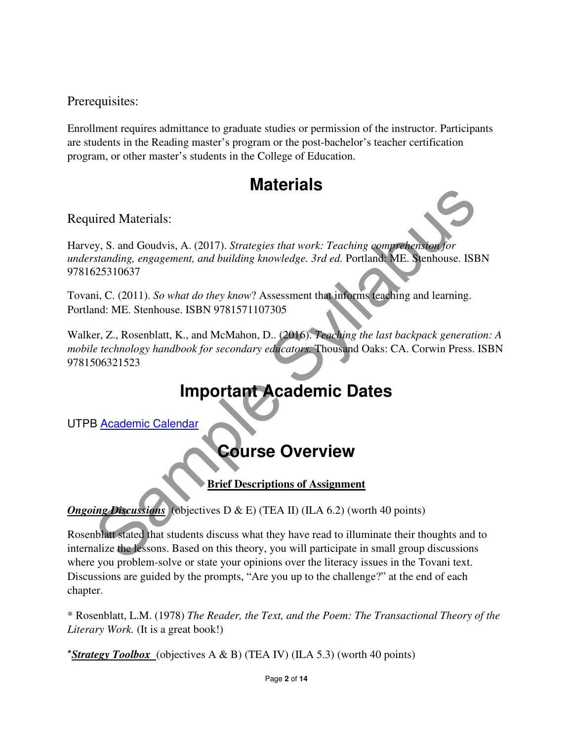Prerequisites:

Enrollment requires admittance to graduate studies or permission of the instructor. Participants are students in the Reading master's program or the post-bachelor's teacher certification program, or other master's students in the College of Education.

## **Materials**

Required Materials:

Harvey, S. and Goudvis, A. (2017). *Strategies that work: Teaching comprehension for understanding, engagement, and building knowledge. 3rd ed.* Portland: ME. Stenhouse. ISBN 9781625310637

Tovani, C. (2011). *So what do they know*? Assessment that informs teaching and learning. Portland: ME. Stenhouse. ISBN 9781571107305

WIRELIGES<br>
Syllabus, S. and Goudvis, A. (2017). Strategies that work: Teaching comprehension for<br>
standing, engagement, and building knowledge. 3rd ed. Portlands ME. Stenhouse. ISBN<br>
1525310637<br>
Standing. ME. Stenhouse. IS Walker, Z., Rosenblatt, K., and McMahon, D.. (2016). *Teaching the last backpack generation: A mobile technology handbook for secondary educators.* Thousand Oaks: CA. Corwin Press. ISBN 9781506321523

## **Important Academic Dates**

UTPB Academic Calendar

## **Course Overview**

**Brief Descriptions of Assignment** 

*Ongoing Discussions* (objectives D & E) (TEA II) (ILA 6.2) (worth 40 points)

Rosenblatt stated that students discuss what they have read to illuminate their thoughts and to internalize the lessons. Based on this theory, you will participate in small group discussions where you problem-solve or state your opinions over the literacy issues in the Tovani text. Discussions are guided by the prompts, "Are you up to the challenge?" at the end of each chapter.

\* Rosenblatt, L.M. (1978) *The Reader, the Text, and the Poem: The Transactional Theory of the Literary Work.* (It is a great book!)

\**Strategy Toolbox* (objectives A & B) (TEA IV) (ILA 5.3) (worth 40 points)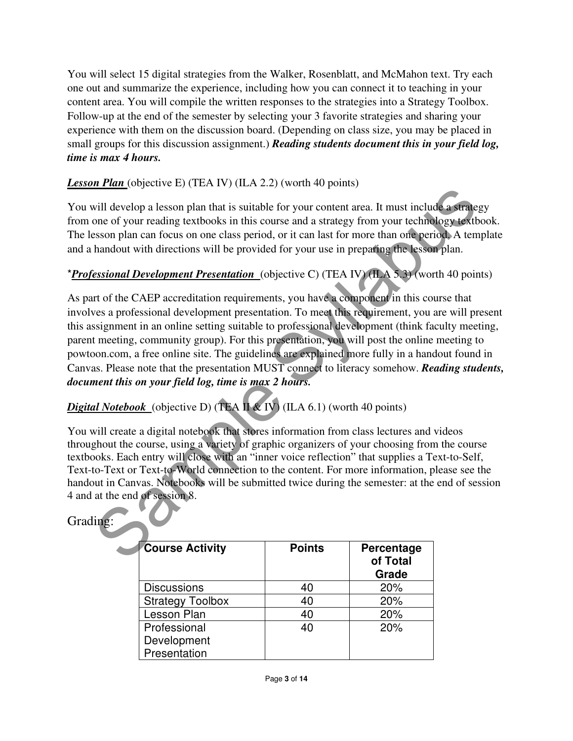You will select 15 digital strategies from the Walker, Rosenblatt, and McMahon text. Try each one out and summarize the experience, including how you can connect it to teaching in your content area. You will compile the written responses to the strategies into a Strategy Toolbox. Follow-up at the end of the semester by selecting your 3 favorite strategies and sharing your experience with them on the discussion board. (Depending on class size, you may be placed in small groups for this discussion assignment.) *Reading students document this in your field log, time is max 4 hours.* 

#### **Lesson Plan** (objective E) (TEA IV) (ILA 2.2) (worth 40 points)

You will develop a lesson plan that is suitable for your content area. It must include a strategy from one of your reading textbooks in this course and a strategy from your technology textbook. The lesson plan can focus on one class period, or it can last for more than one period. A template and a handout with directions will be provided for your use in preparing the lesson plan.

#### \**Professional Development Presentation* (objective C) (TEA IV) (ILA 5.3) (worth 40 points)

**Example 12**<br>
Will develop a lesson plan that is suitable for your content area. It must include a strategy<br>one of your reading textbooks in this course and a strategy from your technology textbooks<br>
sesson plan can focus As part of the CAEP accreditation requirements, you have a component in this course that involves a professional development presentation. To meet this requirement, you are will present this assignment in an online setting suitable to professional development (think faculty meeting, parent meeting, community group). For this presentation, you will post the online meeting to powtoon.com, a free online site. The guidelines are explained more fully in a handout found in Canvas. Please note that the presentation MUST connect to literacy somehow. *Reading students, document this on your field log, time is max 2 hours.*

## *Digital Notebook* (objective D) (TEA II  $\&$  IV) (ILA 6.1) (worth 40 points)

You will create a digital notebook that stores information from class lectures and videos throughout the course, using a variety of graphic organizers of your choosing from the course textbooks. Each entry will close with an "inner voice reflection" that supplies a Text-to-Self, Text-to-Text or Text-to-World connection to the content. For more information, please see the handout in Canvas. Notebooks will be submitted twice during the semester: at the end of session 4 and at the end of session 8.

#### Grading:

| <b>Course Activity</b>  | <b>Points</b> | Percentage<br>of Total<br>Grade |
|-------------------------|---------------|---------------------------------|
| <b>Discussions</b>      | 40            | 20%                             |
| <b>Strategy Toolbox</b> | 40            | 20%                             |
| Lesson Plan             | 40            | 20%                             |
| Professional            | 40            | 20%                             |
| Development             |               |                                 |
| Presentation            |               |                                 |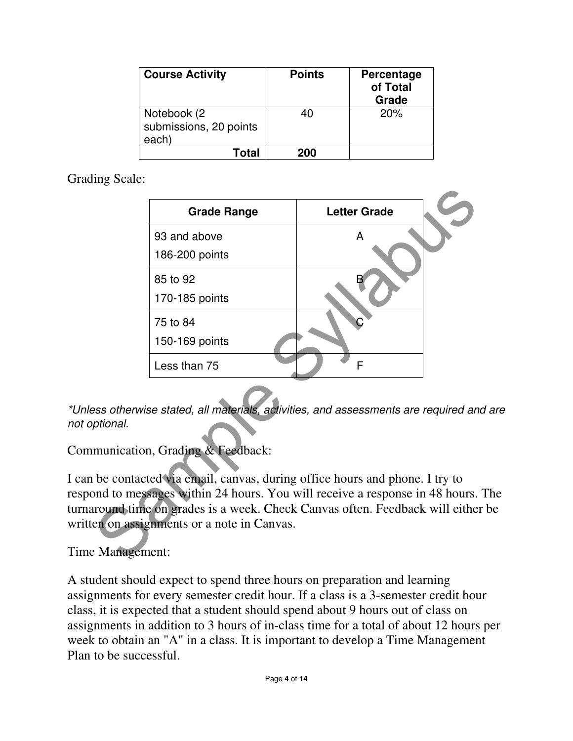| <b>Course Activity</b>                         | <b>Points</b> | Percentage<br>of Total<br>Grade |
|------------------------------------------------|---------------|---------------------------------|
| Notebook (2<br>submissions, 20 points<br>each) | 40            | 20%                             |
| Total                                          | 200           |                                 |

Grading Scale:

| <b>Letter Grade</b><br><b>Grade Range</b><br>93 and above<br>A<br>186-200 points<br>85 to 92<br>170-185 points<br>75 to 84<br>150-169 points<br>F<br>Less than 75<br>ess otherwise stated, all materials, activities, and assessments are required and a<br>ptional.<br>munication, Grading & Feedback:<br>be contacted via email, canvas, during office hours and phone. I try to<br>ond to messages within 24 hours. You will receive a response in 48 hours. T<br>tround time on grades is a week. Check Canvas often. Feedback will either b<br>en on assignments or a note in Canvas.<br>Management: |  |  |
|-----------------------------------------------------------------------------------------------------------------------------------------------------------------------------------------------------------------------------------------------------------------------------------------------------------------------------------------------------------------------------------------------------------------------------------------------------------------------------------------------------------------------------------------------------------------------------------------------------------|--|--|
|                                                                                                                                                                                                                                                                                                                                                                                                                                                                                                                                                                                                           |  |  |
|                                                                                                                                                                                                                                                                                                                                                                                                                                                                                                                                                                                                           |  |  |
|                                                                                                                                                                                                                                                                                                                                                                                                                                                                                                                                                                                                           |  |  |
|                                                                                                                                                                                                                                                                                                                                                                                                                                                                                                                                                                                                           |  |  |
|                                                                                                                                                                                                                                                                                                                                                                                                                                                                                                                                                                                                           |  |  |
|                                                                                                                                                                                                                                                                                                                                                                                                                                                                                                                                                                                                           |  |  |
|                                                                                                                                                                                                                                                                                                                                                                                                                                                                                                                                                                                                           |  |  |
|                                                                                                                                                                                                                                                                                                                                                                                                                                                                                                                                                                                                           |  |  |
|                                                                                                                                                                                                                                                                                                                                                                                                                                                                                                                                                                                                           |  |  |

\*Unless otherwise stated, all materials, activities, and assessments are required and are not optional.

Communication, Grading & Feedback:

I can be contacted via email, canvas, during office hours and phone. I try to respond to messages within 24 hours. You will receive a response in 48 hours. The turnaround time on grades is a week. Check Canvas often. Feedback will either be written on assignments or a note in Canvas.

Time Management:

A student should expect to spend three hours on preparation and learning assignments for every semester credit hour. If a class is a 3-semester credit hour class, it is expected that a student should spend about 9 hours out of class on assignments in addition to 3 hours of in-class time for a total of about 12 hours per week to obtain an "A" in a class. It is important to develop a Time Management Plan to be successful.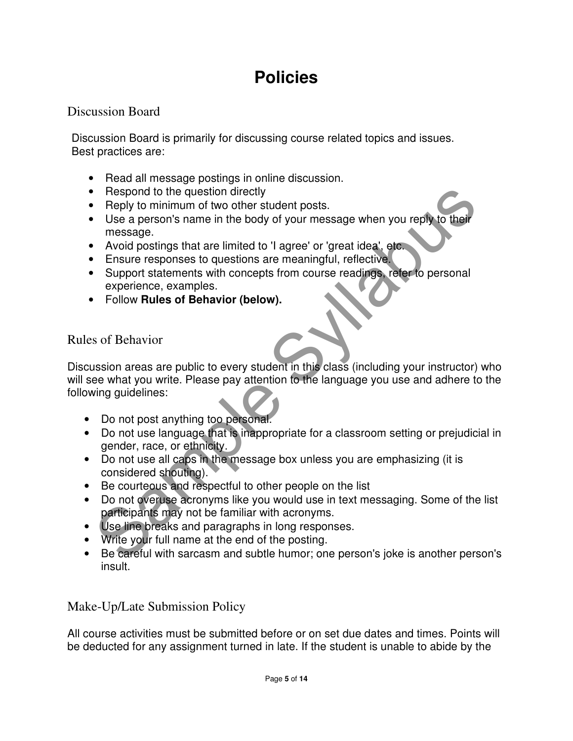# **Policies**

### Discussion Board

Discussion Board is primarily for discussing course related topics and issues. Best practices are:

- Read all message postings in online discussion.
- Respond to the question directly
- Reply to minimum of two other student posts.
- Use a person's name in the body of your message when you reply to their message.
- Avoid postings that are limited to 'I agree' or 'great idea', etc.
- Ensure responses to questions are meaningful, reflective.
- Support statements with concepts from course readings, refer to personal experience, examples.
- Follow **Rules of Behavior (below).**

### Rules of Behavior

Respond to the question directly<br>
Heghy to minimum of two other student posts.<br>
Hose a person's name in the body of your message when you reply to their<br>
message.<br>
Avoid postings that are limited to 'I agree' or 'great ide Discussion areas are public to every student in this class (including your instructor) who will see what you write. Please pay attention to the language you use and adhere to the following guidelines:

- Do not post anything too personal.
- Do not use language that is inappropriate for a classroom setting or prejudicial in gender, race, or ethnicity.
- Do not use all caps in the message box unless you are emphasizing (it is considered shouting).
- Be courteous and respectful to other people on the list
- Do not overuse acronyms like you would use in text messaging. Some of the list participants may not be familiar with acronyms.
- Use line breaks and paragraphs in long responses.
- Write your full name at the end of the posting.
- Be careful with sarcasm and subtle humor; one person's joke is another person's insult.

## Make-Up/Late Submission Policy

All course activities must be submitted before or on set due dates and times. Points will be deducted for any assignment turned in late. If the student is unable to abide by the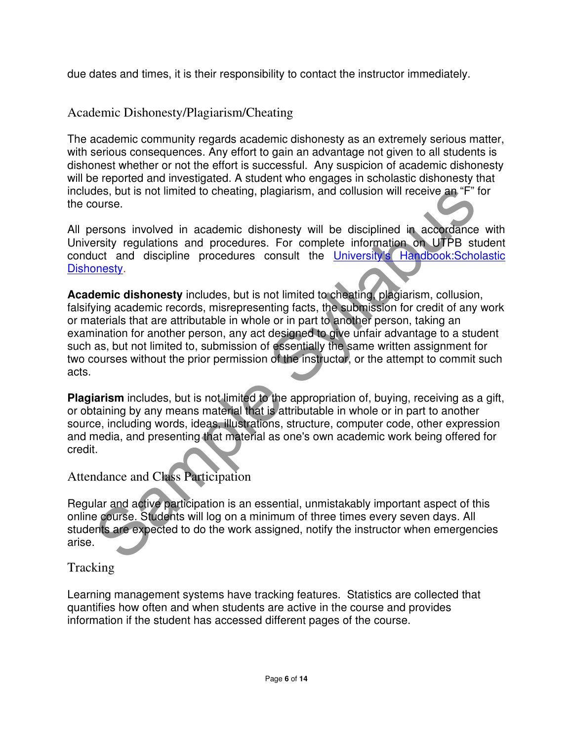due dates and times, it is their responsibility to contact the instructor immediately.

### Academic Dishonesty/Plagiarism/Cheating

The academic community regards academic dishonesty as an extremely serious matter, with serious consequences. Any effort to gain an advantage not given to all students is dishonest whether or not the effort is successful. Any suspicion of academic dishonesty will be reported and investigated. A student who engages in scholastic dishonesty that includes, but is not limited to cheating, plagiarism, and collusion will receive an "F" for the course.

All persons involved in academic dishonesty will be disciplined in accordance with University regulations and procedures. For complete information on UTPB student conduct and discipline procedures consult the University's Handbook: Scholastic Dishonesty.

des, but is not limited to cheating, plagiarism, and collusion will receive an "F" for<br>ourse.<br>The syllabus is involved in academic dishonesty will be disciplined in accordance<br>presons involved in academic dishonesty will b **Academic dishonesty** includes, but is not limited to cheating, plagiarism, collusion, falsifying academic records, misrepresenting facts, the submission for credit of any work or materials that are attributable in whole or in part to another person, taking an examination for another person, any act designed to give unfair advantage to a student such as, but not limited to, submission of essentially the same written assignment for two courses without the prior permission of the instructor, or the attempt to commit such acts.

**Plagiarism** includes, but is not limited to the appropriation of, buying, receiving as a gift, or obtaining by any means material that is attributable in whole or in part to another source, including words, ideas, illustrations, structure, computer code, other expression and media, and presenting that material as one's own academic work being offered for credit.

#### Attendance and Class Participation

Regular and active participation is an essential, unmistakably important aspect of this online course. Students will log on a minimum of three times every seven days. All students are expected to do the work assigned, notify the instructor when emergencies arise.

#### **Tracking**

Learning management systems have tracking features. Statistics are collected that quantifies how often and when students are active in the course and provides information if the student has accessed different pages of the course.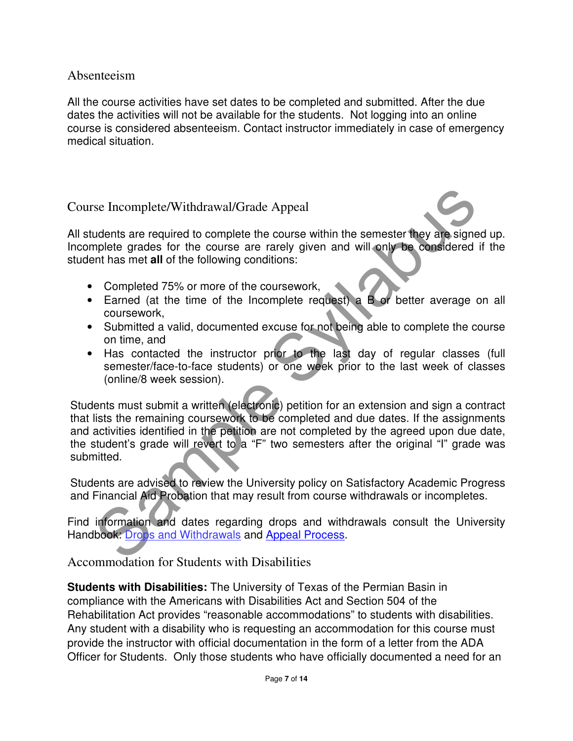#### Absenteeism

All the course activities have set dates to be completed and submitted. After the due dates the activities will not be available for the students. Not logging into an online course is considered absenteeism. Contact instructor immediately in case of emergency medical situation.

#### Course Incomplete/Withdrawal/Grade Appeal

All students are required to complete the course within the semester they are signed up. Incomplete grades for the course are rarely given and will only be considered if the student has met **all** of the following conditions:

- Completed 75% or more of the coursework,
- Earned (at the time of the Incomplete request) a B or better average on all coursework,
- Submitted a valid, documented excuse for not being able to complete the course on time, and
- Has contacted the instructor prior to the last day of regular classes (full semester/face-to-face students) or one week prior to the last week of classes (online/8 week session).

se Incomplete/Withdrawal/Grade Appeal<br>
udents are required to complete the course within the semester they are signed<br>
mplete grades for the course are rarely given and will only be considered if<br>
empleted 75% or more of t Students must submit a written (electronic) petition for an extension and sign a contract that lists the remaining coursework to be completed and due dates. If the assignments and activities identified in the petition are not completed by the agreed upon due date, the student's grade will revert to a "F" two semesters after the original "I" grade was submitted.

Students are advised to review the University policy on Satisfactory Academic Progress and Financial Aid Probation that may result from course withdrawals or incompletes.

Find information and dates regarding drops and withdrawals consult the University Handbook: Drops and Withdrawals and Appeal Process.

Accommodation for Students with Disabilities

**Students with Disabilities:** The University of Texas of the Permian Basin in compliance with the Americans with Disabilities Act and Section 504 of the Rehabilitation Act provides "reasonable accommodations" to students with disabilities. Any student with a disability who is requesting an accommodation for this course must provide the instructor with official documentation in the form of a letter from the ADA Officer for Students. Only those students who have officially documented a need for an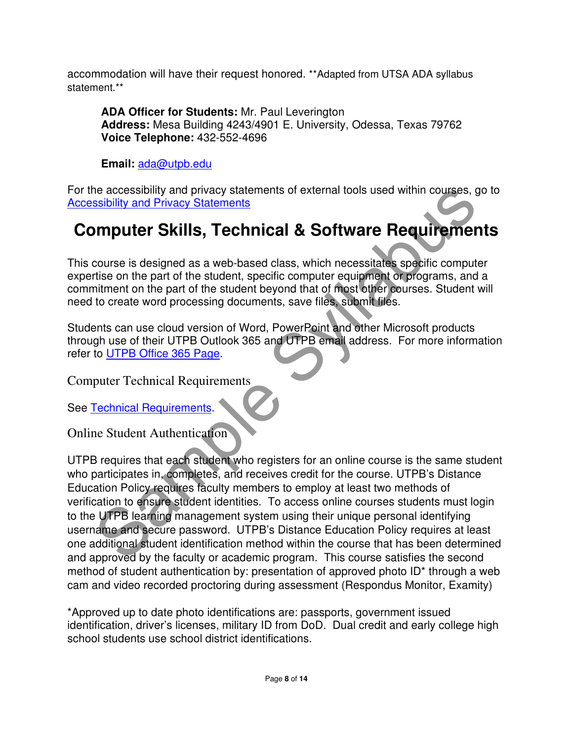accommodation will have their request honored. \*\*Adapted from UTSA ADA syllabus statement.\*\*

**ADA Officer for Students:** Mr. Paul Leverington **Address:** Mesa Building 4243/4901 E. University, Odessa, Texas 79762 **Voice Telephone:** 432-552-4696

**Email:** ada@utpb.edu

For the accessibility and privacy statements of external tools used within courses, go to Accessibility and Privacy Statements

# **Computer Skills, Technical & Software Requirements**

This course is designed as a web-based class, which necessitates specific computer expertise on the part of the student, specific computer equipment or programs, and a commitment on the part of the student beyond that of most other courses. Student will need to create word processing documents, save files, submit files.

Students can use cloud version of Word, PowerPoint and other Microsoft products through use of their UTPB Outlook 365 and UTPB email address. For more information refer to UTPB Office 365 Page.

Computer Technical Requirements

See Technical Requirements.

Online Student Authentication

The accessibility and privacy statements of external tools used within courses, go<br>
sibility and Privacy Statements<br>
Sample Trivacy Statements<br>
Course is designed as a web-based class, which necessitates specific computer<br> UTPB requires that each student who registers for an online course is the same student who participates in, completes, and receives credit for the course. UTPB's Distance Education Policy requires faculty members to employ at least two methods of verification to ensure student identities. To access online courses students must login to the UTPB learning management system using their unique personal identifying username and secure password. UTPB's Distance Education Policy requires at least one additional student identification method within the course that has been determined and approved by the faculty or academic program. This course satisfies the second method of student authentication by: presentation of approved photo ID\* through a web cam and video recorded proctoring during assessment (Respondus Monitor, Examity)

\*Approved up to date photo identifications are: passports, government issued identification, driver's licenses, military ID from DoD. Dual credit and early college high school students use school district identifications.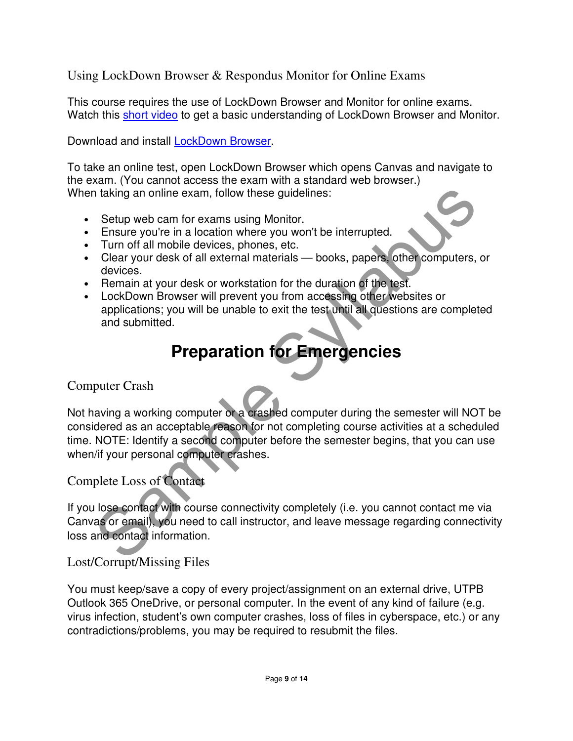Using LockDown Browser & Respondus Monitor for Online Exams

This course requires the use of LockDown Browser and Monitor for online exams. Watch this short video to get a basic understanding of LockDown Browser and Monitor.

Download and install **LockDown Browser**.

To take an online test, open LockDown Browser which opens Canvas and navigate to the exam. (You cannot access the exam with a standard web browser.) When taking an online exam, follow these guidelines:

- Setup web cam for exams using Monitor.
- Ensure you're in a location where you won't be interrupted.
- Turn off all mobile devices, phones, etc.
- Clear your desk of all external materials books, papers, other computers, or devices.
- Remain at your desk or workstation for the duration of the test.
- LockDown Browser will prevent you from accessing other websites or applications; you will be unable to exit the test until all questions are completed and submitted.

# **Preparation for Emergencies**

#### Computer Crash

Thaking an online exam, follow these guidelines:<br>
Setup web cam for exams using Monitor.<br>
Ensure you're in a location where you won't be interrupted.<br>
Turn off all mobile devices, phones, etc.<br>
Clear your desk of all exter Not having a working computer or a crashed computer during the semester will NOT be considered as an acceptable reason for not completing course activities at a scheduled time. NOTE: Identify a second computer before the semester begins, that you can use when/if your personal computer crashes.

### Complete Loss of Contact

If you lose contact with course connectivity completely (i.e. you cannot contact me via Canvas or email), you need to call instructor, and leave message regarding connectivity loss and contact information.

## Lost/Corrupt/Missing Files

You must keep/save a copy of every project/assignment on an external drive, UTPB Outlook 365 OneDrive, or personal computer. In the event of any kind of failure (e.g. virus infection, student's own computer crashes, loss of files in cyberspace, etc.) or any contradictions/problems, you may be required to resubmit the files.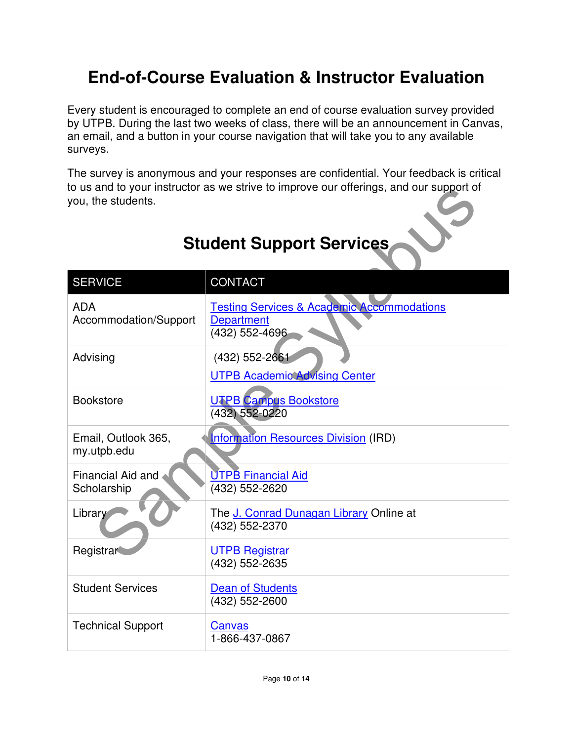# **End-of-Course Evaluation & Instructor Evaluation**

Every student is encouraged to complete an end of course evaluation survey provided by UTPB. During the last two weeks of class, there will be an announcement in Canvas, an email, and a button in your course navigation that will take you to any available surveys.

The survey is anonymous and your responses are confidential. Your feedback is critical to us and to your instructor as we strive to improve our offerings, and our support of you, the students.

| to us and to your instructor as we strive to improve our offerings, and our support of<br>you, the students. |                                                                                              |  |  |
|--------------------------------------------------------------------------------------------------------------|----------------------------------------------------------------------------------------------|--|--|
| <b>Student Support Services</b>                                                                              |                                                                                              |  |  |
| <b>SERVICE</b>                                                                                               | <b>CONTACT</b>                                                                               |  |  |
| <b>ADA</b><br>Accommodation/Support                                                                          | <b>Testing Services &amp; Academic Accommodations</b><br><b>Department</b><br>(432) 552-4696 |  |  |
| Advising                                                                                                     | (432) 552-2661<br><b>UTPB Academic Advising Center</b>                                       |  |  |
| <b>Bookstore</b>                                                                                             | <b>UTPB Campus Bookstore</b><br>(432) 552-0220                                               |  |  |
| Email, Outlook 365,<br>my.utpb.edu                                                                           | <b>Information Resources Division (IRD)</b>                                                  |  |  |
| <b>Financial Aid and</b><br>Scholarship                                                                      | <b>UTPB Financial Aid</b><br>(432) 552-2620                                                  |  |  |
| Library                                                                                                      | The J. Conrad Dunagan Library Online at<br>(432) 552-2370                                    |  |  |
| Registrar                                                                                                    | <b>UTPB Registrar</b><br>(432) 552-2635                                                      |  |  |
| <b>Student Services</b>                                                                                      | <b>Dean of Students</b><br>(432) 552-2600                                                    |  |  |
| <b>Technical Support</b>                                                                                     | Canvas<br>1-866-437-0867                                                                     |  |  |

# **Student Support Services**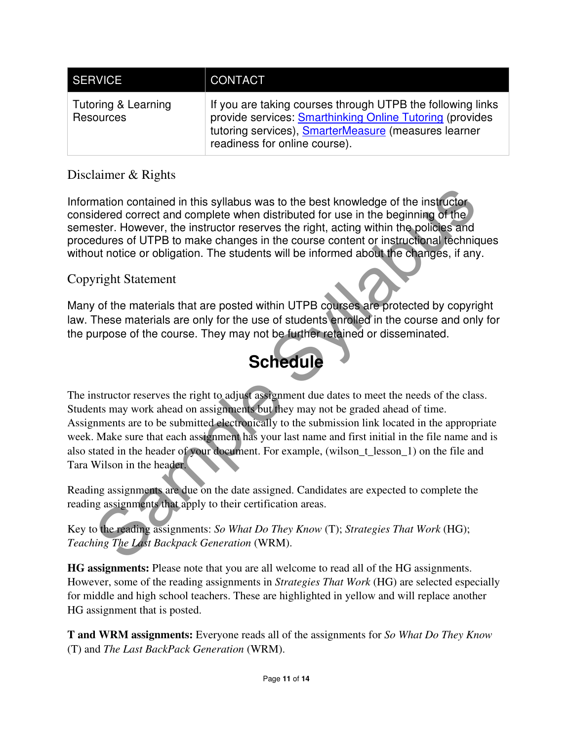| SERVICE <sup>T</sup>             | CONTACT                                                                                                                                                                                                                       |
|----------------------------------|-------------------------------------------------------------------------------------------------------------------------------------------------------------------------------------------------------------------------------|
| Tutoring & Learning<br>Resources | If you are taking courses through UTPB the following links<br>provide services: <b>Smarthinking Online Tutoring</b> (provides<br>tutoring services), <b>SmarterMeasure</b> (measures learner<br>readiness for online course). |

### Disclaimer & Rights

Information contained in this syllabus was to the best knowledge of the instructor considered correct and complete when distributed for use in the beginning of the semester. However, the instructor reserves the right, acting within the policies and procedures of UTPB to make changes in the course content or instructional techniques without notice or obligation. The students will be informed about the changes, if any.

#### Copyright Statement

Many of the materials that are posted within UTPB courses are protected by copyright law. These materials are only for the use of students enrolled in the course and only for the purpose of the course. They may not be further retained or disseminated.

# **Schedule**

mation contained in this syllabus was to the best knowledge of the instructor<br>dered correct and complete when distributed for use in the beginning of the<br>stest. However, the instructor reserves the right, acting within the The instructor reserves the right to adjust assignment due dates to meet the needs of the class. Students may work ahead on assignments but they may not be graded ahead of time. Assignments are to be submitted electronically to the submission link located in the appropriate week. Make sure that each assignment has your last name and first initial in the file name and is also stated in the header of your document. For example, (wilson\_t\_lesson\_1) on the file and Tara Wilson in the header.

Reading assignments are due on the date assigned. Candidates are expected to complete the reading assignments that apply to their certification areas.

Key to the reading assignments: *So What Do They Know* (T); *Strategies That Work* (HG); *Teaching The Last Backpack Generation* (WRM).

**HG assignments:** Please note that you are all welcome to read all of the HG assignments. However, some of the reading assignments in *Strategies That Work* (HG) are selected especially for middle and high school teachers. These are highlighted in yellow and will replace another HG assignment that is posted.

**T and WRM assignments:** Everyone reads all of the assignments for *So What Do They Know*  (T) and *The Last BackPack Generation* (WRM).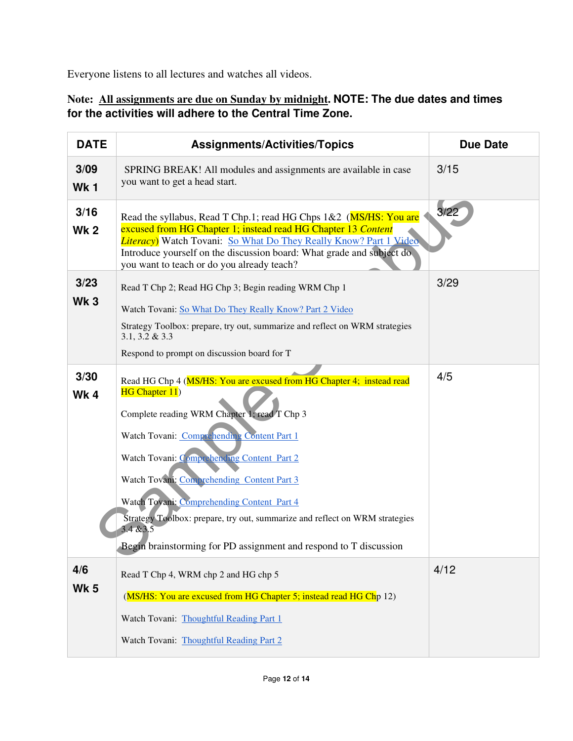Everyone listens to all lectures and watches all videos.

#### **Note: All assignments are due on Sunday by midnight. NOTE: The due dates and times for the activities will adhere to the Central Time Zone.**

| <b>DATE</b>         | <b>Assignments/Activities/Topics</b>                                                                                                                                                                                                                                                                                                                                                                                                                                                             | <b>Due Date</b> |
|---------------------|--------------------------------------------------------------------------------------------------------------------------------------------------------------------------------------------------------------------------------------------------------------------------------------------------------------------------------------------------------------------------------------------------------------------------------------------------------------------------------------------------|-----------------|
| 3/09<br><b>Wk1</b>  | SPRING BREAK! All modules and assignments are available in case<br>you want to get a head start.                                                                                                                                                                                                                                                                                                                                                                                                 | 3/15            |
| 3/16<br><b>Wk 2</b> | Read the syllabus, Read T Chp.1; read HG Chps 1&2 (MS/HS: You are<br>excused from HG Chapter 1; instead read HG Chapter 13 Content<br><b>Literacy</b> ) Watch Tovani: So What Do They Really Know? Part 1 Video<br>Introduce yourself on the discussion board: What grade and subject do<br>you want to teach or do you already teach?                                                                                                                                                           | 3/22            |
| 3/23<br><b>Wk 3</b> | Read T Chp 2; Read HG Chp 3; Begin reading WRM Chp 1<br>Watch Tovani: So What Do They Really Know? Part 2 Video<br>Strategy Toolbox: prepare, try out, summarize and reflect on WRM strategies<br>$3.1, 3.2 \& 3.3$<br>Respond to prompt on discussion board for T                                                                                                                                                                                                                               | 3/29            |
| 3/30<br>Wk4         | Read HG Chp 4 (MS/HS: You are excused from HG Chapter 4; instead read<br>HG Chapter 11)<br>Complete reading WRM Chapter 1; read T Chp 3<br>Watch Tovani: Comprehending Content Part 1<br>Watch Tovani: Comprehending Content Part 2<br>Watch Tovani: Comprehending Content Part 3<br>Watch Toyani: Comprehending Content Part 4<br>Strategy Toolbox: prepare, try out, summarize and reflect on WRM strategies<br>3.4 & 3.5<br>Begin brainstorming for PD assignment and respond to T discussion | 4/5             |
| 4/6<br><b>Wk 5</b>  | Read T Chp 4, WRM chp 2 and HG chp 5<br>(MS/HS: You are excused from HG Chapter 5; instead read HG Chp 12)<br>Watch Tovani: Thoughtful Reading Part 1<br>Watch Tovani: Thoughtful Reading Part 2                                                                                                                                                                                                                                                                                                 | 4/12            |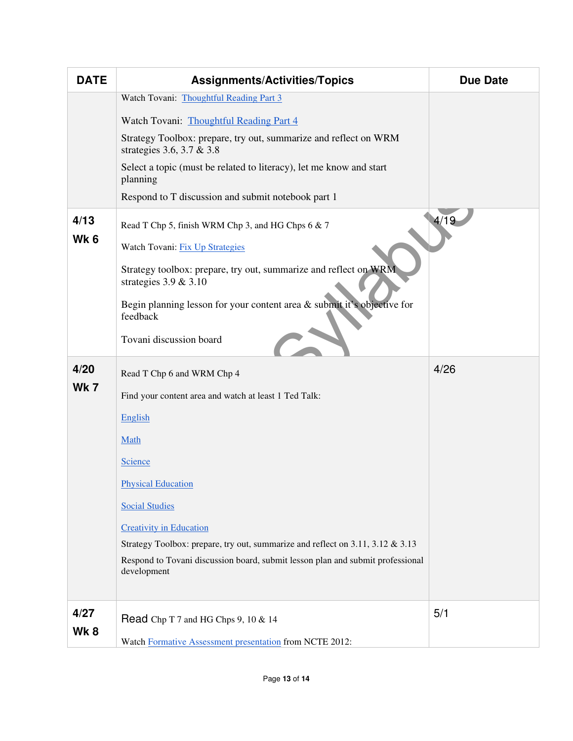| <b>DATE</b>             | <b>Assignments/Activities/Topics</b>                                                          | <b>Due Date</b> |
|-------------------------|-----------------------------------------------------------------------------------------------|-----------------|
|                         | Watch Tovani: Thoughtful Reading Part 3                                                       |                 |
|                         | Watch Tovani: Thoughtful Reading Part 4                                                       |                 |
|                         | Strategy Toolbox: prepare, try out, summarize and reflect on WRM<br>strategies 3.6, 3.7 & 3.8 |                 |
|                         | Select a topic (must be related to literacy), let me know and start<br>planning               |                 |
|                         | Respond to T discussion and submit notebook part 1                                            |                 |
| 4/13<br>Wk <sub>6</sub> | Read T Chp 5, finish WRM Chp 3, and HG Chps 6 & 7<br>Watch Tovani: Fix Up Strategies          | 4/19            |
|                         | Strategy toolbox: prepare, try out, summarize and reflect on WRM<br>strategies $3.9 \& 3.10$  |                 |
|                         | Begin planning lesson for your content area $\&$ submit it's objective for<br>feedback        |                 |
|                         | Tovani discussion board                                                                       |                 |
| 4/20                    | Read T Chp 6 and WRM Chp 4                                                                    | 4/26            |
| <b>Wk7</b>              | Find your content area and watch at least 1 Ted Talk:                                         |                 |
|                         | English                                                                                       |                 |
|                         | Math                                                                                          |                 |
|                         | <b>Science</b>                                                                                |                 |
|                         | <b>Physical Education</b>                                                                     |                 |
|                         | <b>Social Studies</b>                                                                         |                 |
|                         | <b>Creativity in Education</b>                                                                |                 |
|                         | Strategy Toolbox: prepare, try out, summarize and reflect on 3.11, 3.12 & 3.13                |                 |
|                         | Respond to Tovani discussion board, submit lesson plan and submit professional<br>development |                 |
|                         |                                                                                               |                 |
| 4/27                    | Read Chp T 7 and HG Chps 9, 10 & 14                                                           | 5/1             |
| Wk8                     | Watch Formative Assessment presentation from NCTE 2012:                                       |                 |